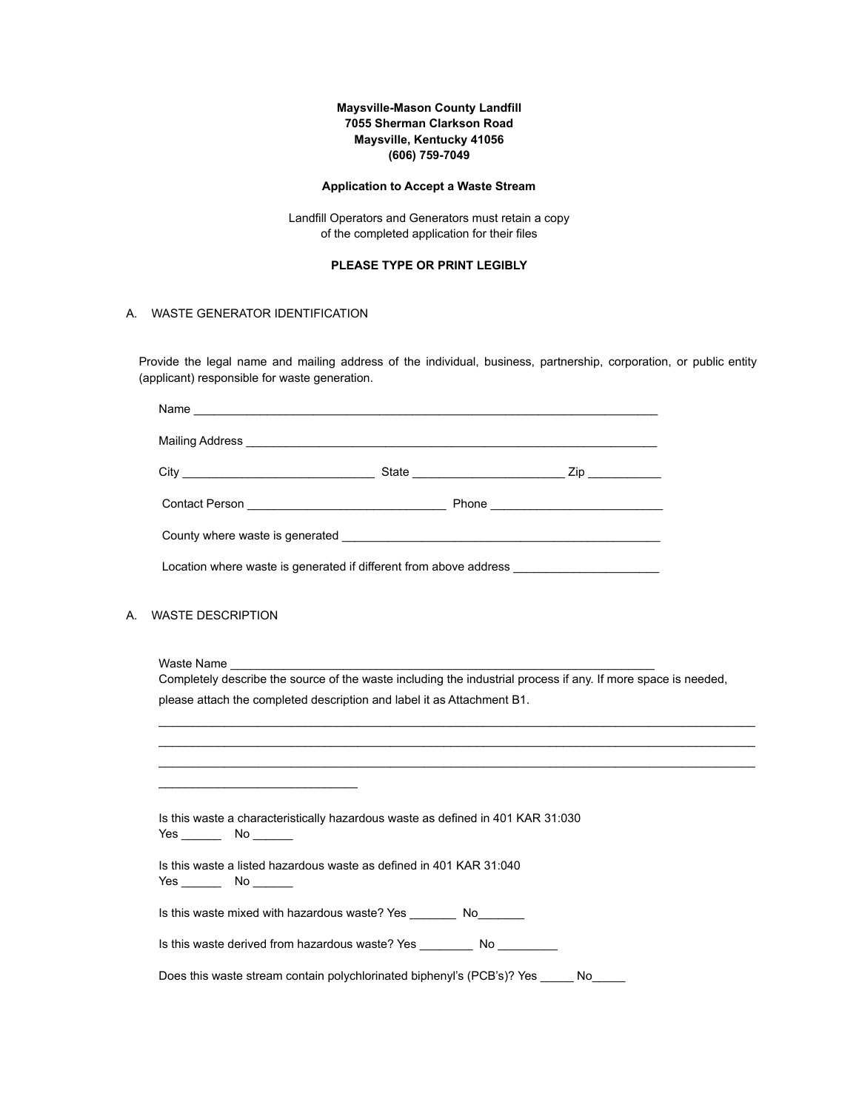### **Maysville-Mason County Landfill 7055 Sherman Clarkson Road Maysville, Kentucky 41056 (606) 759-7049**

#### **Application to Accept a Waste Stream**

Landfill Operators and Generators must retain a copy of the completed application for their files

### **PLEASE TYPE OR PRINT LEGIBLY**

#### A. WASTE GENERATOR IDENTIFICATION

Provide the legal name and mailing address of the individual, business, partnership, corporation, or public entity (applicant) responsible for waste generation.

| Name                                                                                    |  |  |  |  |
|-----------------------------------------------------------------------------------------|--|--|--|--|
|                                                                                         |  |  |  |  |
|                                                                                         |  |  |  |  |
|                                                                                         |  |  |  |  |
|                                                                                         |  |  |  |  |
| Location where waste is generated if different from above address _____________________ |  |  |  |  |

#### A. WASTE DESCRIPTION

Waste Name

Completely describe the source of the waste including the industrial process if any. If more space is needed, please attach the completed description and label it as Attachment B1.

 $\mathcal{L}_\mathcal{L} = \mathcal{L}_\mathcal{L} = \mathcal{L}_\mathcal{L} = \mathcal{L}_\mathcal{L} = \mathcal{L}_\mathcal{L} = \mathcal{L}_\mathcal{L} = \mathcal{L}_\mathcal{L} = \mathcal{L}_\mathcal{L} = \mathcal{L}_\mathcal{L} = \mathcal{L}_\mathcal{L} = \mathcal{L}_\mathcal{L} = \mathcal{L}_\mathcal{L} = \mathcal{L}_\mathcal{L} = \mathcal{L}_\mathcal{L} = \mathcal{L}_\mathcal{L} = \mathcal{L}_\mathcal{L} = \mathcal{L}_\mathcal{L}$ \_\_\_\_\_\_\_\_\_\_\_\_\_\_\_\_\_\_\_\_\_\_\_\_\_\_\_\_\_\_\_\_\_\_\_\_\_\_\_\_\_\_\_\_\_\_\_\_\_\_\_\_\_\_\_\_\_\_\_\_\_\_\_\_\_\_\_\_\_\_\_\_\_\_\_\_\_\_\_\_\_\_\_\_\_\_\_\_\_\_ \_\_\_\_\_\_\_\_\_\_\_\_\_\_\_\_\_\_\_\_\_\_\_\_\_\_\_\_\_\_\_\_\_\_\_\_\_\_\_\_\_\_\_\_\_\_\_\_\_\_\_\_\_\_\_\_\_\_\_\_\_\_\_\_\_\_\_\_\_\_\_\_\_\_\_\_\_\_\_\_\_\_\_\_\_\_\_\_\_\_

 $\overline{\phantom{a}}$  , and the set of the set of the set of the set of the set of the set of the set of the set of the set of the set of the set of the set of the set of the set of the set of the set of the set of the set of the s Is this waste a characteristically hazardous waste as defined in 401 KAR 31:030 Yes \_\_\_\_\_\_ No \_\_\_\_\_\_ Is this waste a listed hazardous waste as defined in 401 KAR 31:040 Yes \_\_\_\_\_\_ No \_\_\_\_\_\_ Is this waste mixed with hazardous waste? Yes \_\_\_\_\_\_\_ No\_\_\_\_\_\_\_ Is this waste derived from hazardous waste? Yes \_\_\_\_\_\_\_\_\_\_ No \_\_\_\_\_\_\_\_\_\_ Does this waste stream contain polychlorinated biphenyl's (PCB's)? Yes \_\_\_\_\_ No\_\_\_\_\_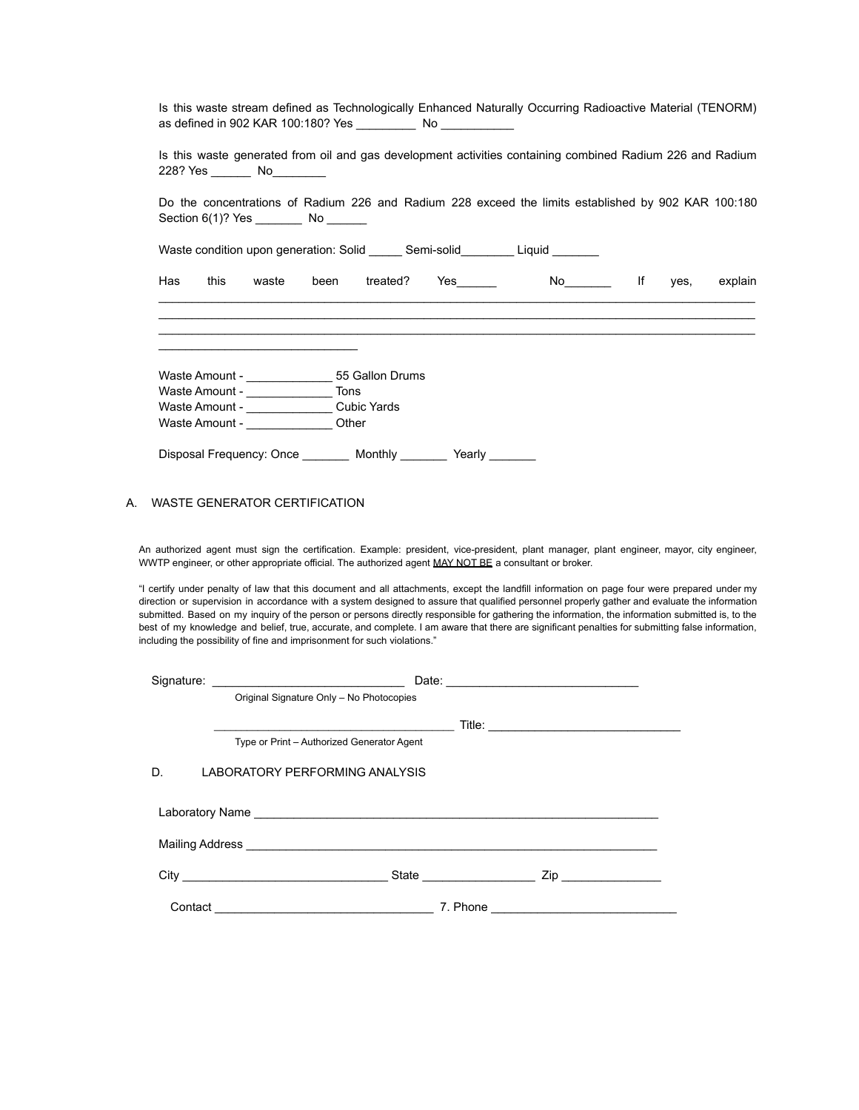| 228? Yes ___________ No___________                                                                  |                   | Is this waste generated from oil and gas development activities containing combined Radium 226 and Radium |    |         |         |
|-----------------------------------------------------------------------------------------------------|-------------------|-----------------------------------------------------------------------------------------------------------|----|---------|---------|
| Do the concentrations of Radium 226 and Radium 228 exceed the limits established by 902 KAR 100:180 |                   |                                                                                                           |    |         |         |
|                                                                                                     |                   |                                                                                                           |    |         |         |
| Waste condition upon generation: Solid _______ Semi-solid__________ Liquid _______                  |                   |                                                                                                           |    |         |         |
|                                                                                                     |                   |                                                                                                           |    |         |         |
| Has<br>this<br>waste                                                                                | been treated? Yes |                                                                                                           | No | If yes, | explain |
|                                                                                                     |                   |                                                                                                           |    |         |         |
|                                                                                                     |                   |                                                                                                           |    |         |         |
|                                                                                                     |                   |                                                                                                           |    |         |         |
|                                                                                                     |                   |                                                                                                           |    |         |         |
|                                                                                                     |                   |                                                                                                           |    |         |         |
|                                                                                                     |                   |                                                                                                           |    |         |         |
|                                                                                                     |                   |                                                                                                           |    |         |         |
|                                                                                                     |                   |                                                                                                           |    |         |         |
| Waste Amount - Cubic Yards<br>Waste Amount - ________________Other                                  |                   |                                                                                                           |    |         |         |

Is this waste stream defined as Technologically Enhanced Naturally Occurring Radioactive Material (TENORM)

An authorized agent must sign the certification. Example: president, vice-president, plant manager, plant engineer, mayor, city engineer, WWTP engineer, or other appropriate official. The authorized agent MAY NOT BE a consultant or broker.

"I certify under penalty of law that this document and all attachments, except the landfill information on page four were prepared under my direction or supervision in accordance with a system designed to assure that qualified personnel properly gather and evaluate the information submitted. Based on my inquiry of the person or persons directly responsible for gathering the information, the information submitted is, to the best of my knowledge and belief, true, accurate, and complete. I am aware that there are significant penalties for submitting false information, including the possibility of fine and imprisonment for such violations."

|         |                                            | Date: <u>________________________________</u> |
|---------|--------------------------------------------|-----------------------------------------------|
|         | Original Signature Only - No Photocopies   |                                               |
|         |                                            |                                               |
|         | Type or Print - Authorized Generator Agent |                                               |
| D.      | LABORATORY PERFORMING ANALYSIS             |                                               |
|         |                                            |                                               |
|         |                                            |                                               |
|         |                                            |                                               |
| Contact |                                            |                                               |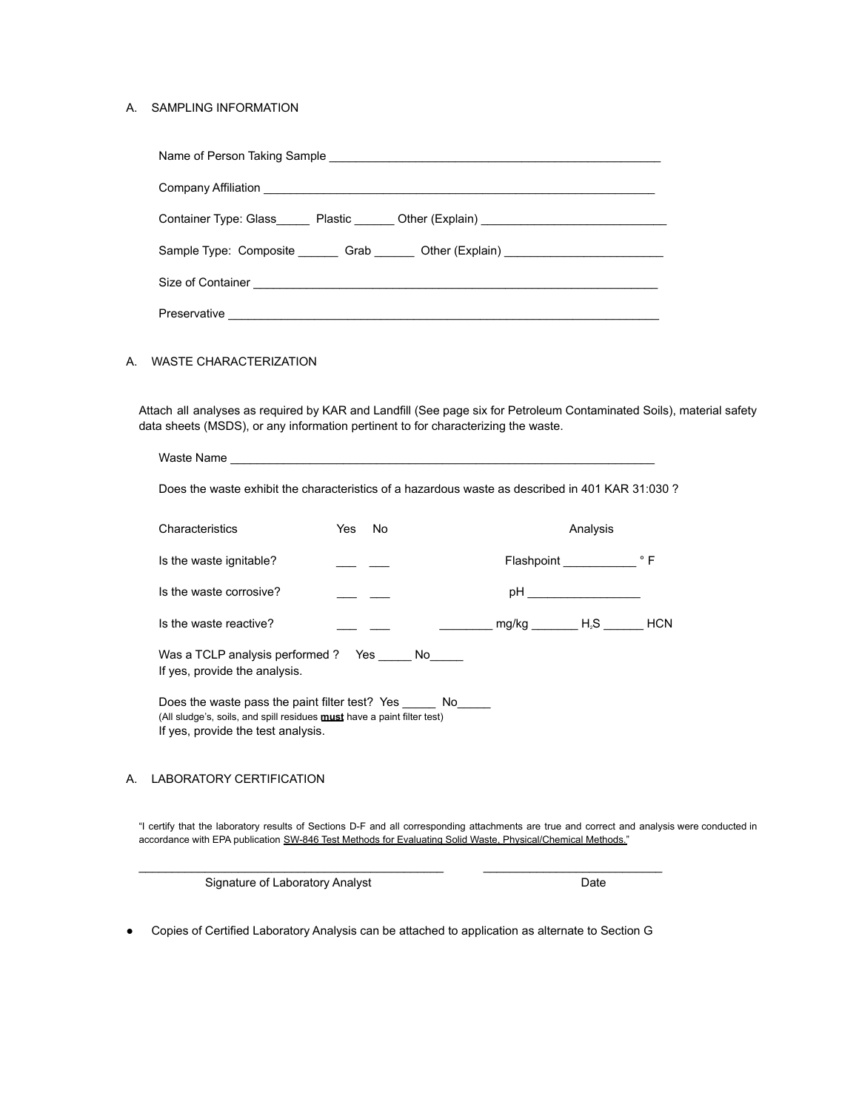#### A. SAMPLING INFORMATION

| Container Type: Glass________ Plastic ________ Other (Explain) __________________ |
|-----------------------------------------------------------------------------------|
| Sample Type: Composite ________ Grab _______ Other (Explain) ___________________  |
|                                                                                   |
| Preservative Preservative                                                         |

### A. WASTE CHARACTERIZATION

Attach all analyses as required by KAR and Landfill (See page six for Petroleum Contaminated Soils), material safety data sheets (MSDS), or any information pertinent to for characterizing the waste.

| Waste Name                                                                                                                                                                |           |                             |  |  |
|---------------------------------------------------------------------------------------------------------------------------------------------------------------------------|-----------|-----------------------------|--|--|
| Does the waste exhibit the characteristics of a hazardous waste as described in 401 KAR 31:030 ?                                                                          |           |                             |  |  |
| Characteristics                                                                                                                                                           | Yes<br>No | Analysis                    |  |  |
| Is the waste ignitable?                                                                                                                                                   |           | Flashpoint Flashpoint FLASH |  |  |
| Is the waste corrosive?                                                                                                                                                   |           |                             |  |  |
| Is the waste reactive?                                                                                                                                                    |           | $mg/kg$ $H_zS$ HCN          |  |  |
| Was a TCLP analysis performed ? Yes No<br>If yes, provide the analysis.                                                                                                   |           |                             |  |  |
| Does the waste pass the paint filter test? Yes No<br>(All sludge's, soils, and spill residues <b>must</b> have a paint filter test)<br>If yes, provide the test analysis. |           |                             |  |  |

## A. LABORATORY CERTIFICATION

"I certify that the laboratory results of Sections D-F and all corresponding attachments are true and correct and analysis were conducted in accordance with EPA publication SW-846 Test Methods for Evaluating Solid Waste, Physical/Chemical Methods."

Signature of Laboratory Analyst **Date** Date

● Copies of Certified Laboratory Analysis can be attached to application as alternate to Section G

 $\_$  ,  $\_$  ,  $\_$  ,  $\_$  ,  $\_$  ,  $\_$  ,  $\_$  ,  $\_$  ,  $\_$  ,  $\_$  ,  $\_$  ,  $\_$  ,  $\_$  ,  $\_$  ,  $\_$  ,  $\_$  ,  $\_$  ,  $\_$  ,  $\_$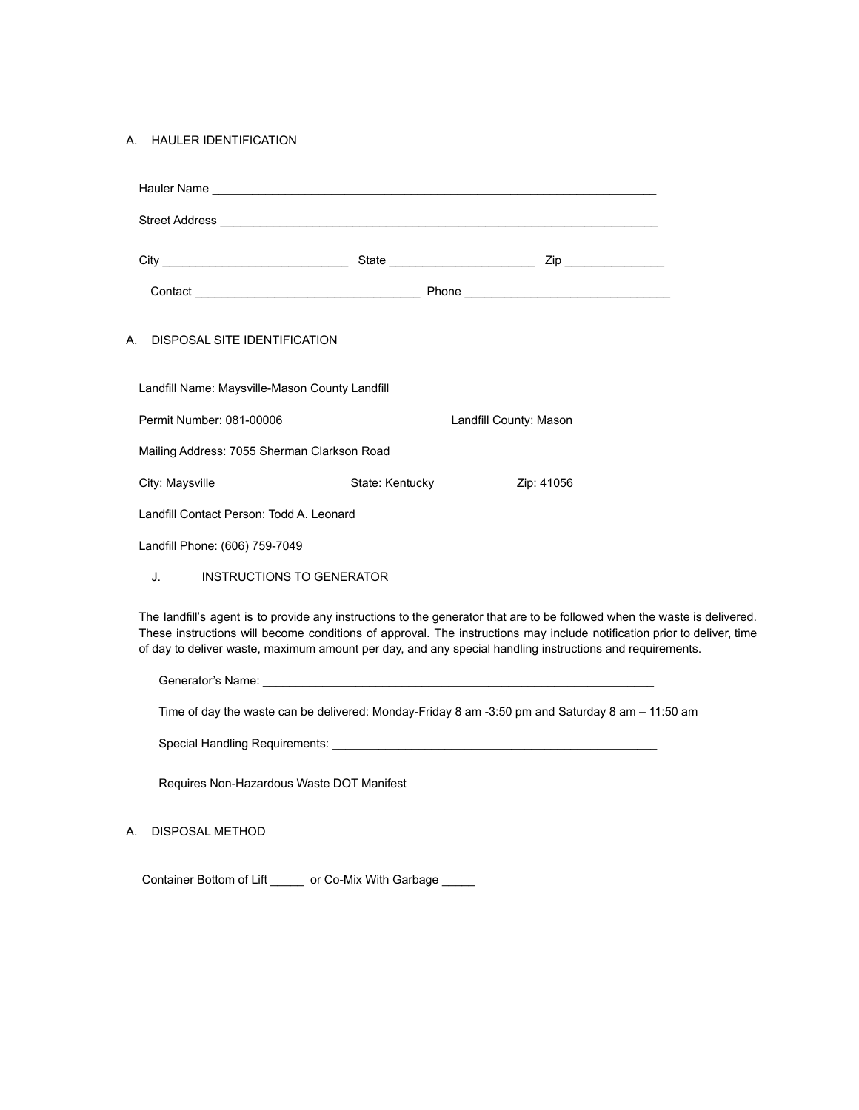#### A. HAULER IDENTIFICATION

| DISPOSAL SITE IDENTIFICATION<br>А.             |                 |                        |  |  |
|------------------------------------------------|-----------------|------------------------|--|--|
| Landfill Name: Maysville-Mason County Landfill |                 |                        |  |  |
| Permit Number: 081-00006                       |                 | Landfill County: Mason |  |  |
| Mailing Address: 7055 Sherman Clarkson Road    |                 |                        |  |  |
| City: Maysville                                | State: Kentucky | Zip: 41056             |  |  |
| Landfill Contact Person: Todd A. Leonard       |                 |                        |  |  |
| Landfill Phone: (606) 759-7049                 |                 |                        |  |  |
| INSTRUCTIONS TO GENERATOR<br>J.                |                 |                        |  |  |
|                                                |                 |                        |  |  |

The landfill's agent is to provide any instructions to the generator that are to be followed when the waste is delivered. These instructions will become conditions of approval. The instructions may include notification prior to deliver, time of day to deliver waste, maximum amount per day, and any special handling instructions and requirements.

Generator's Name: \_\_\_\_\_\_\_\_\_\_\_\_\_\_\_\_\_\_\_\_\_\_\_\_\_\_\_\_\_\_\_\_\_\_\_\_\_\_\_\_\_\_\_\_\_\_\_\_\_\_\_\_\_\_\_\_\_\_\_

Time of day the waste can be delivered: Monday-Friday 8 am -3:50 pm and Saturday 8 am – 11:50 am

Special Handling Requirements: \_\_\_\_\_\_\_\_\_\_\_\_\_\_\_\_\_\_\_\_\_\_\_\_\_\_\_\_\_\_\_\_\_\_\_\_\_\_\_\_\_\_\_\_\_\_\_\_\_

Requires Non-Hazardous Waste DOT Manifest

# A. DISPOSAL METHOD

Container Bottom of Lift \_\_\_\_\_ or Co-Mix With Garbage \_\_\_\_\_